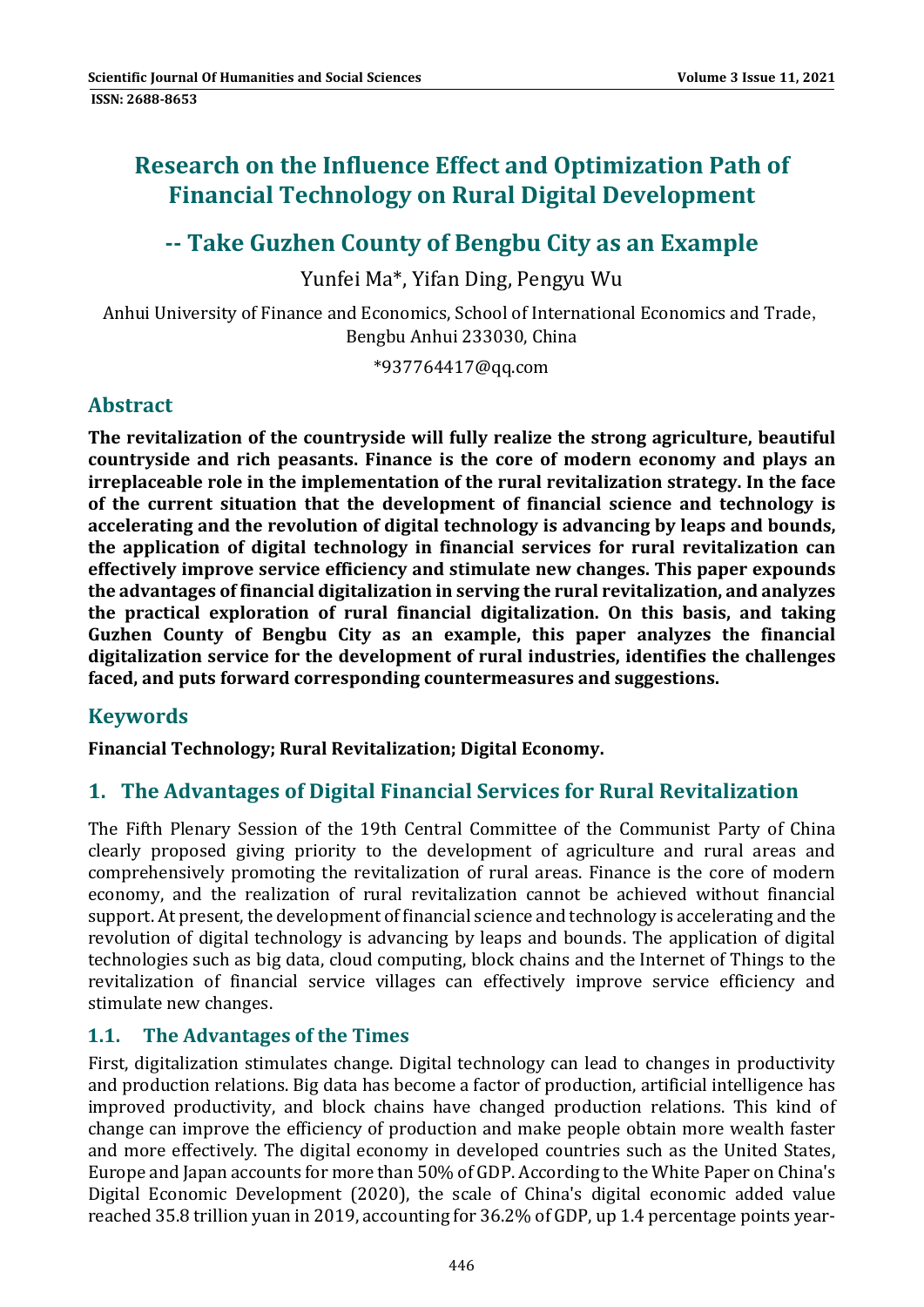# **Research on the Influence Effect and Optimization Path of Financial Technology on Rural Digital Development**

# **‐‐ Take Guzhen County of Bengbu City as an Example**

Yunfei Ma<sup>\*</sup>, Yifan Ding, Pengyu Wu

Anhui University of Finance and Economics, School of International Economics and Trade, Bengbu Anhui 233030, China

\*937764417@qq.com 

# **Abstract**

**The revitalization of the countryside will fully realize the strong agriculture, beautiful countryside and rich peasants. Finance is the core of modern economy and plays an irreplaceable role in the implementation of the rural revitalization strategy. In the face of the current situation that the development of financial science and technology is accelerating and the revolution of digital technology is advancing by leaps and bounds, the application of digital technology in financial services for rural revitalization can effectively improve service efficiency and stimulate new changes. This paper expounds the advantages of financial digitalization in serving the rural revitalization, and analyzes the practical exploration of rural financial digitalization. On this basis, and taking Guzhen County of Bengbu City as an example, this paper analyzes the financial digitalization service for the development of rural industries, identifies the challenges faced, and puts forward corresponding countermeasures and suggestions.**

# **Keywords**

**Financial Technology; Rural Revitalization; Digital Economy.**

### **1. The Advantages of Digital Financial Services for Rural Revitalization**

The Fifth Plenary Session of the 19th Central Committee of the Communist Party of China clearly proposed giving priority to the development of agriculture and rural areas and comprehensively promoting the revitalization of rural areas. Finance is the core of modern economy, and the realization of rural revitalization cannot be achieved without financial support. At present, the development of financial science and technology is accelerating and the revolution of digital technology is advancing by leaps and bounds. The application of digital technologies such as big data, cloud computing, block chains and the Internet of Things to the revitalization of financial service villages can effectively improve service efficiency and stimulate new changes.

### **1.1. The Advantages of the Times**

First, digitalization stimulates change. Digital technology can lead to changes in productivity and production relations. Big data has become a factor of production, artificial intelligence has improved productivity, and block chains have changed production relations. This kind of change can improve the efficiency of production and make people obtain more wealth faster and more effectively. The digital economy in developed countries such as the United States, Europe and Japan accounts for more than 50% of GDP. According to the White Paper on China's Digital Economic Development (2020), the scale of China's digital economic added value reached 35.8 trillion yuan in 2019, accounting for 36.2% of GDP, up 1.4 percentage points year-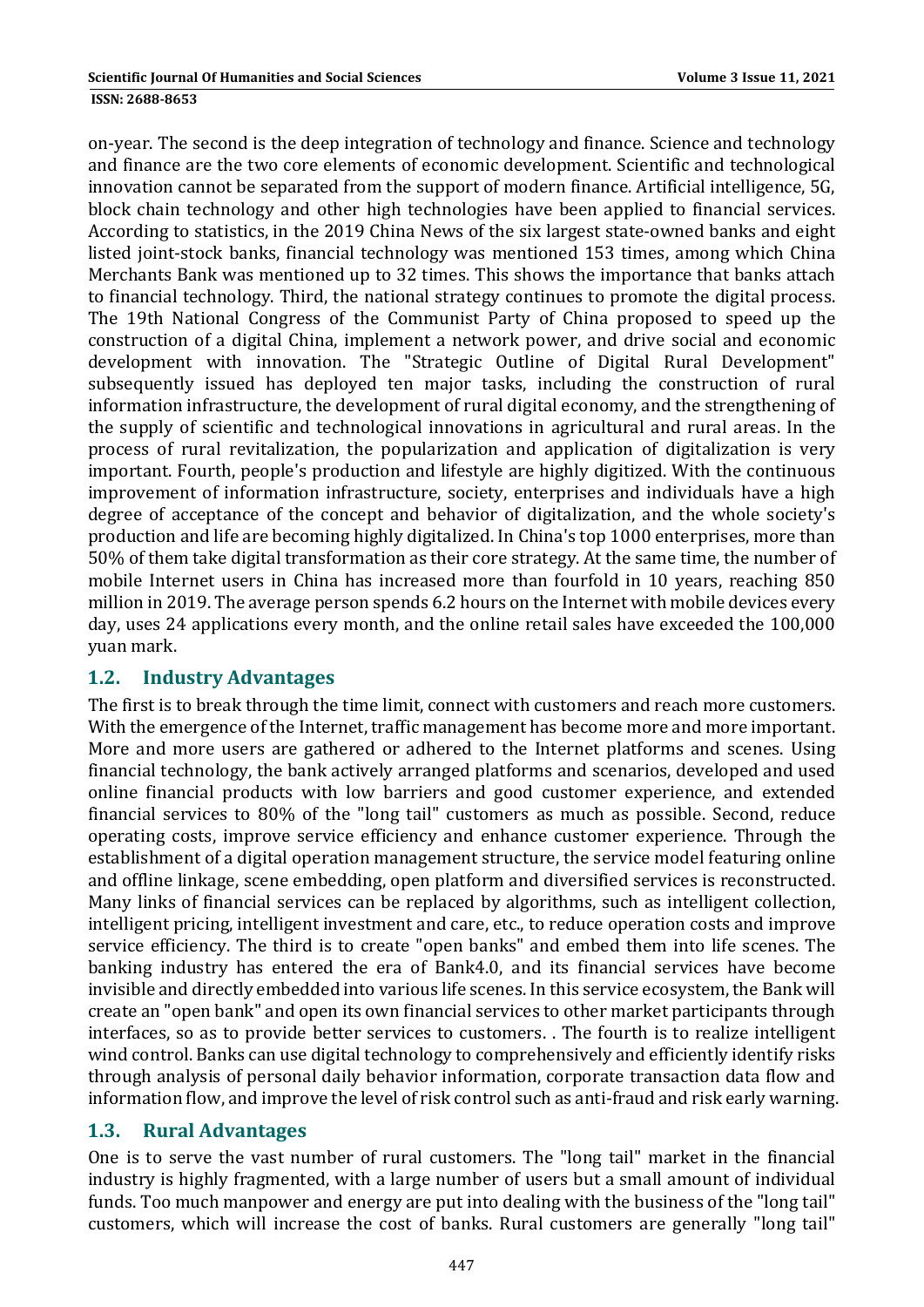on-year. The second is the deep integration of technology and finance. Science and technology and finance are the two core elements of economic development. Scientific and technological innovation cannot be separated from the support of modern finance. Artificial intelligence, 5G, block chain technology and other high technologies have been applied to financial services. According to statistics, in the 2019 China News of the six largest state-owned banks and eight listed joint-stock banks, financial technology was mentioned 153 times, among which China Merchants Bank was mentioned up to 32 times. This shows the importance that banks attach to financial technology. Third, the national strategy continues to promote the digital process. The 19th National Congress of the Communist Party of China proposed to speed up the construction of a digital China, implement a network power, and drive social and economic development with innovation. The "Strategic Outline of Digital Rural Development" subsequently issued has deployed ten major tasks, including the construction of rural information infrastructure, the development of rural digital economy, and the strengthening of the supply of scientific and technological innovations in agricultural and rural areas. In the process of rural revitalization, the popularization and application of digitalization is very important. Fourth, people's production and lifestyle are highly digitized. With the continuous improvement of information infrastructure, society, enterprises and individuals have a high degree of acceptance of the concept and behavior of digitalization, and the whole society's production and life are becoming highly digitalized. In China's top 1000 enterprises, more than 50% of them take digital transformation as their core strategy. At the same time, the number of mobile Internet users in China has increased more than fourfold in 10 years, reaching 850 million in 2019. The average person spends 6.2 hours on the Internet with mobile devices every day, uses 24 applications every month, and the online retail sales have exceeded the 100,000 yuan mark. 

#### **1.2. Industry Advantages**

The first is to break through the time limit, connect with customers and reach more customers. With the emergence of the Internet, traffic management has become more and more important. More and more users are gathered or adhered to the Internet platforms and scenes. Using financial technology, the bank actively arranged platforms and scenarios, developed and used online financial products with low barriers and good customer experience, and extended financial services to 80% of the "long tail" customers as much as possible. Second, reduce operating costs, improve service efficiency and enhance customer experience. Through the establishment of a digital operation management structure, the service model featuring online and offline linkage, scene embedding, open platform and diversified services is reconstructed. Many links of financial services can be replaced by algorithms, such as intelligent collection, intelligent pricing, intelligent investment and care, etc., to reduce operation costs and improve service efficiency. The third is to create "open banks" and embed them into life scenes. The banking industry has entered the era of Bank4.0, and its financial services have become invisible and directly embedded into various life scenes. In this service ecosystem, the Bank will create an "open bank" and open its own financial services to other market participants through interfaces, so as to provide better services to customers. The fourth is to realize intelligent wind control. Banks can use digital technology to comprehensively and efficiently identify risks through analysis of personal daily behavior information, corporate transaction data flow and information flow, and improve the level of risk control such as anti-fraud and risk early warning.

### **1.3. Rural Advantages**

One is to serve the vast number of rural customers. The "long tail" market in the financial industry is highly fragmented, with a large number of users but a small amount of individual funds. Too much manpower and energy are put into dealing with the business of the "long tail" customers, which will increase the cost of banks. Rural customers are generally "long tail"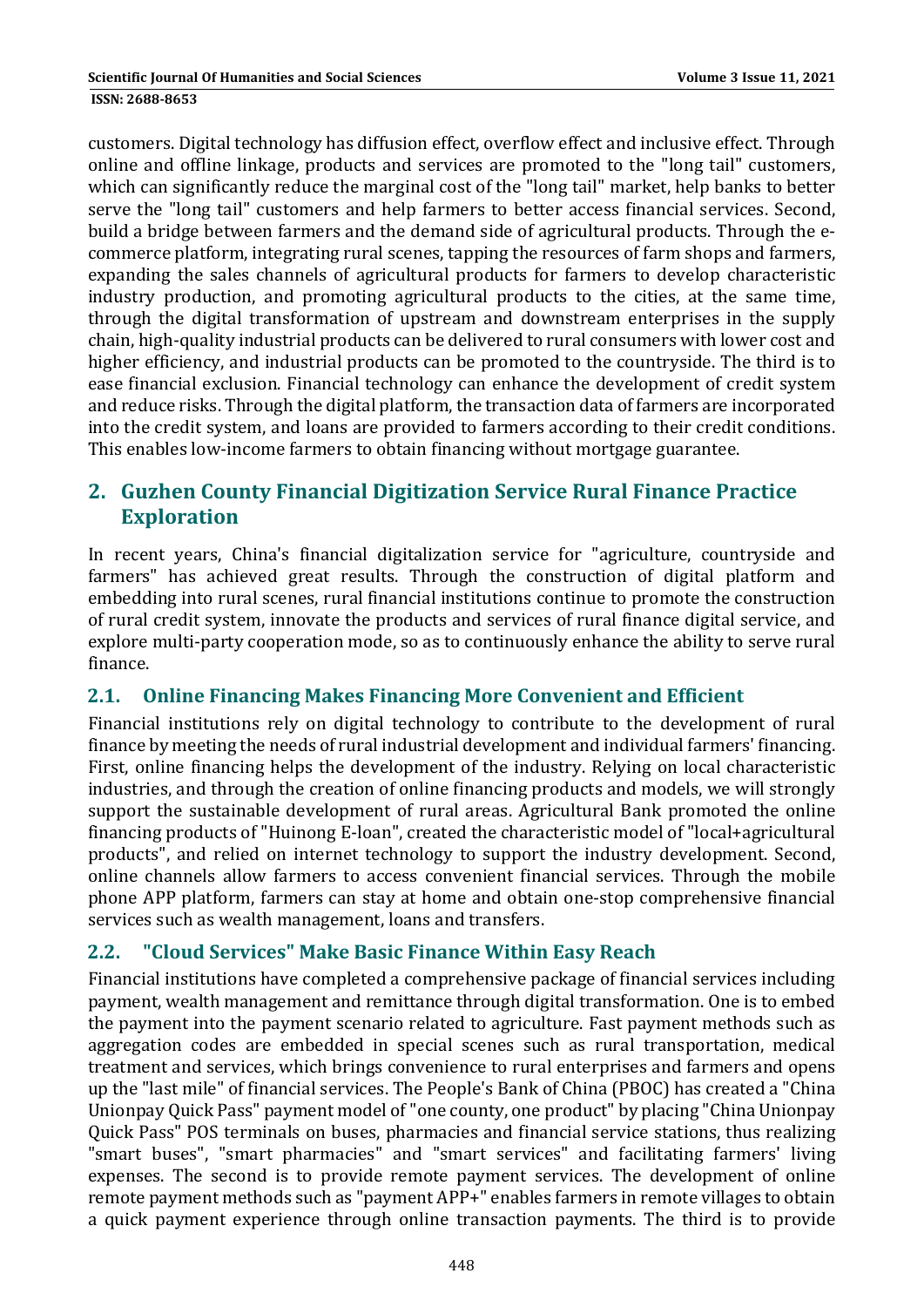customers. Digital technology has diffusion effect, overflow effect and inclusive effect. Through online and offline linkage, products and services are promoted to the "long tail" customers, which can significantly reduce the marginal cost of the "long tail" market, help banks to better serve the "long tail" customers and help farmers to better access financial services. Second, build a bridge between farmers and the demand side of agricultural products. Through the ecommerce platform, integrating rural scenes, tapping the resources of farm shops and farmers, expanding the sales channels of agricultural products for farmers to develop characteristic industry production, and promoting agricultural products to the cities, at the same time, through the digital transformation of upstream and downstream enterprises in the supply chain, high-quality industrial products can be delivered to rural consumers with lower cost and higher efficiency, and industrial products can be promoted to the countryside. The third is to ease financial exclusion. Financial technology can enhance the development of credit system and reduce risks. Through the digital platform, the transaction data of farmers are incorporated into the credit system, and loans are provided to farmers according to their credit conditions. This enables low-income farmers to obtain financing without mortgage guarantee.

# **2. Guzhen County Financial Digitization Service Rural Finance Practice Exploration**

In recent vears, China's financial digitalization service for "agriculture, countryside and farmers" has achieved great results. Through the construction of digital platform and embedding into rural scenes, rural financial institutions continue to promote the construction of rural credit system, innovate the products and services of rural finance digital service, and explore multi-party cooperation mode, so as to continuously enhance the ability to serve rural finance. 

### **2.1. Online Financing Makes Financing More Convenient and Efficient**

Financial institutions rely on digital technology to contribute to the development of rural finance by meeting the needs of rural industrial development and individual farmers' financing. First, online financing helps the development of the industry. Relying on local characteristic industries, and through the creation of online financing products and models, we will strongly support the sustainable development of rural areas. Agricultural Bank promoted the online financing products of "Huinong E-loan", created the characteristic model of "local+agricultural products", and relied on internet technology to support the industry development. Second, online channels allow farmers to access convenient financial services. Through the mobile phone APP platform, farmers can stay at home and obtain one-stop comprehensive financial services such as wealth management, loans and transfers.

### **2.2. "Cloud Services" Make Basic Finance Within Easy Reach**

Financial institutions have completed a comprehensive package of financial services including payment, wealth management and remittance through digital transformation. One is to embed the payment into the payment scenario related to agriculture. Fast payment methods such as aggregation codes are embedded in special scenes such as rural transportation, medical treatment and services, which brings convenience to rural enterprises and farmers and opens up the "last mile" of financial services. The People's Bank of China (PBOC) has created a "China Unionpay Quick Pass" payment model of "one county, one product" by placing "China Unionpay Quick Pass" POS terminals on buses, pharmacies and financial service stations, thus realizing "smart buses", "smart pharmacies" and "smart services" and facilitating farmers' living expenses. The second is to provide remote payment services. The development of online remote payment methods such as "payment APP+" enables farmers in remote villages to obtain a quick payment experience through online transaction payments. The third is to provide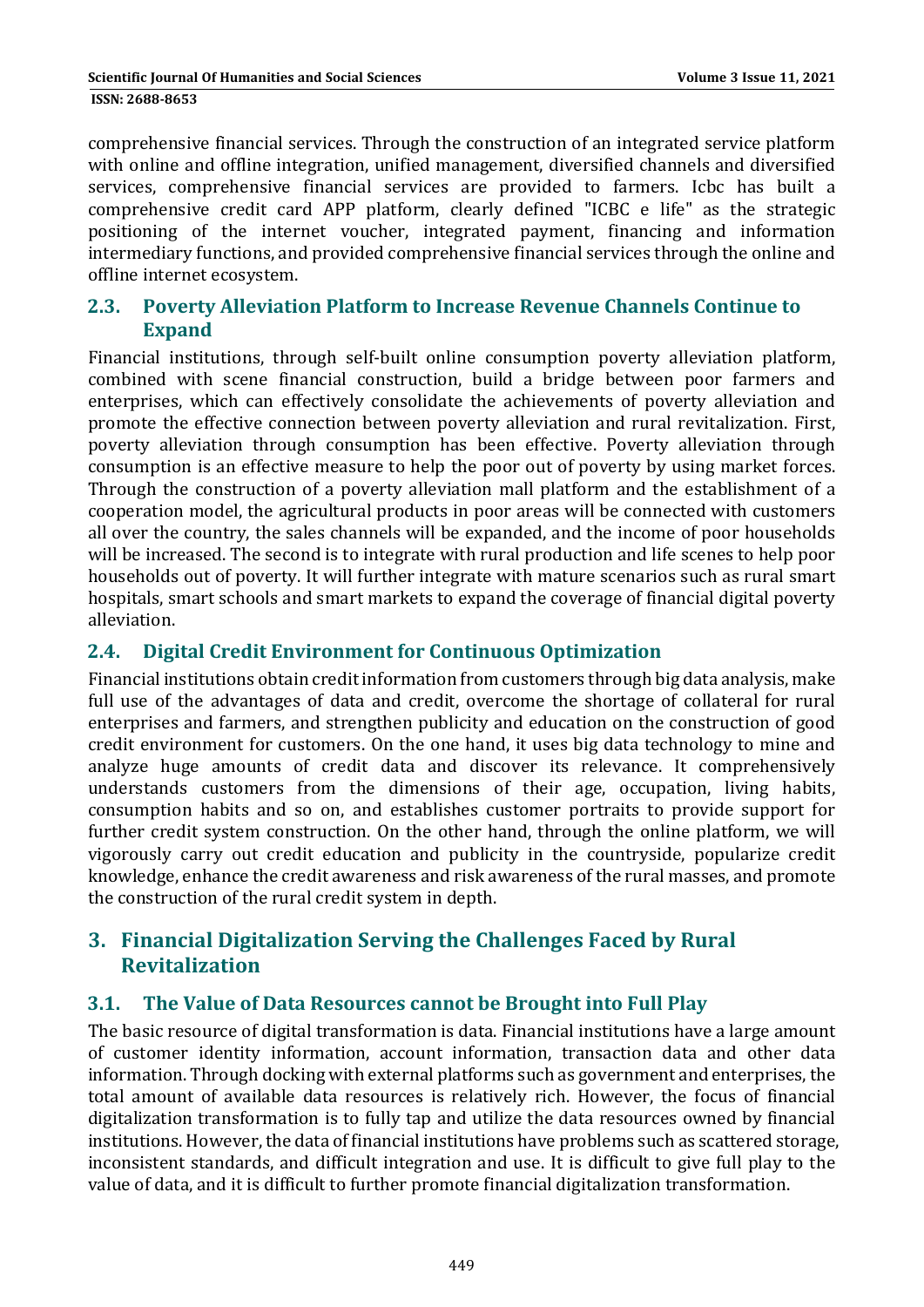comprehensive financial services. Through the construction of an integrated service platform with online and offline integration, unified management, diversified channels and diversified services, comprehensive financial services are provided to farmers. Icbc has built a comprehensive credit card APP platform, clearly defined "ICBC e life" as the strategic positioning of the internet voucher, integrated payment, financing and information intermediary functions, and provided comprehensive financial services through the online and offline internet ecosystem.

### **2.3. Poverty Alleviation Platform to Increase Revenue Channels Continue to Expand**

Financial institutions, through self-built online consumption poverty alleviation platform, combined with scene financial construction, build a bridge between poor farmers and enterprises, which can effectively consolidate the achievements of poverty alleviation and promote the effective connection between poverty alleviation and rural revitalization. First, poverty alleviation through consumption has been effective. Poverty alleviation through consumption is an effective measure to help the poor out of poverty by using market forces. Through the construction of a poverty alleviation mall platform and the establishment of a cooperation model, the agricultural products in poor areas will be connected with customers all over the country, the sales channels will be expanded, and the income of poor households will be increased. The second is to integrate with rural production and life scenes to help poor households out of poverty. It will further integrate with mature scenarios such as rural smart hospitals, smart schools and smart markets to expand the coverage of financial digital poverty alleviation. 

#### **2.4. Digital Credit Environment for Continuous Optimization**

Financial institutions obtain credit information from customers through big data analysis, make full use of the advantages of data and credit, overcome the shortage of collateral for rural enterprises and farmers, and strengthen publicity and education on the construction of good credit environment for customers. On the one hand, it uses big data technology to mine and analyze huge amounts of credit data and discover its relevance. It comprehensively understands customers from the dimensions of their age, occupation, living habits, consumption habits and so on, and establishes customer portraits to provide support for further credit system construction. On the other hand, through the online platform, we will vigorously carry out credit education and publicity in the countryside, popularize credit knowledge, enhance the credit awareness and risk awareness of the rural masses, and promote the construction of the rural credit system in depth.

# **3. Financial Digitalization Serving the Challenges Faced by Rural Revitalization**

#### **3.1. The Value of Data Resources cannot be Brought into Full Play**

The basic resource of digital transformation is data. Financial institutions have a large amount of customer identity information, account information, transaction data and other data information. Through docking with external platforms such as government and enterprises, the total amount of available data resources is relatively rich. However, the focus of financial digitalization transformation is to fully tap and utilize the data resources owned by financial institutions. However, the data of financial institutions have problems such as scattered storage, inconsistent standards, and difficult integration and use. It is difficult to give full play to the value of data, and it is difficult to further promote financial digitalization transformation.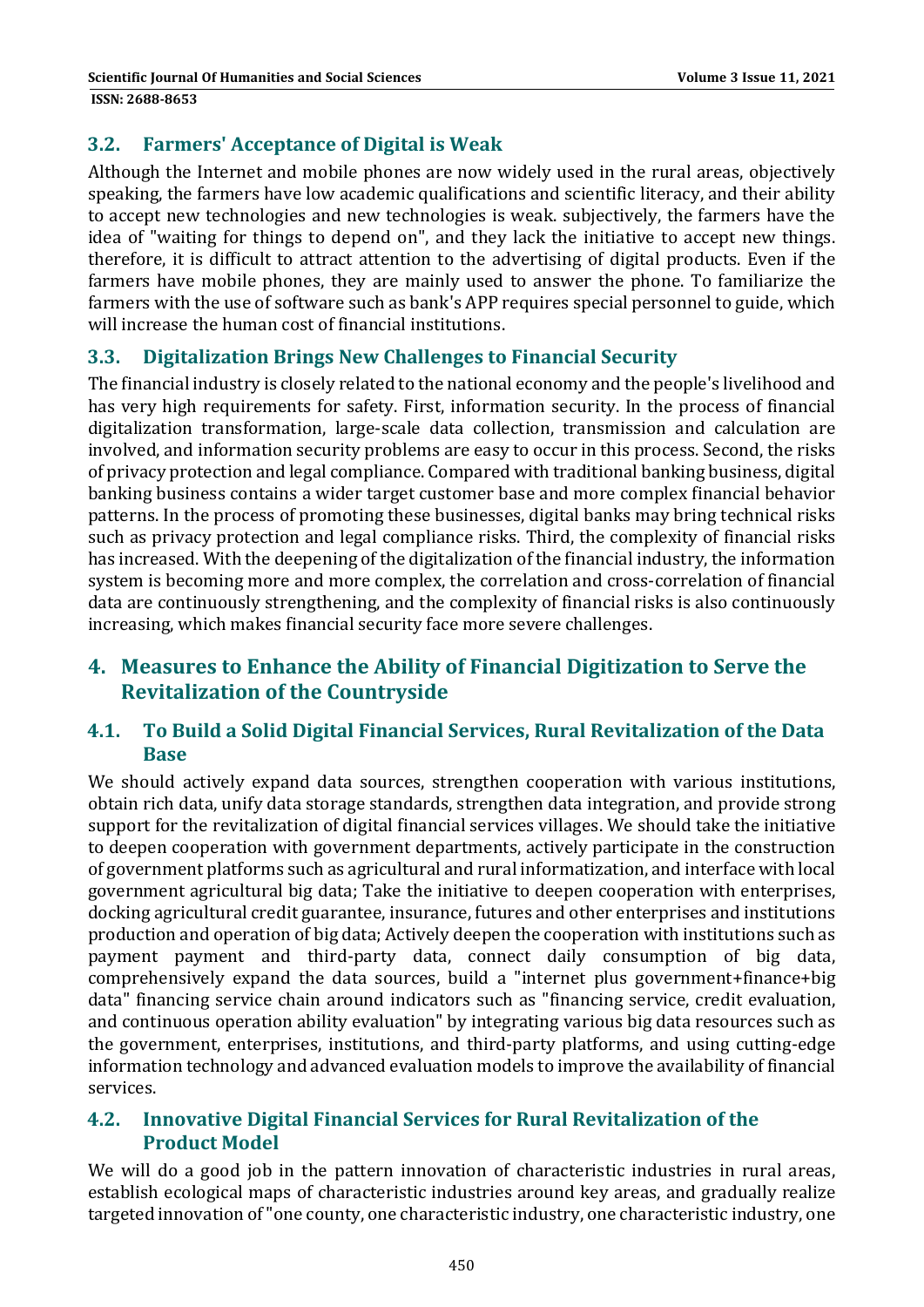### **3.2. Farmers' Acceptance of Digital is Weak**

Although the Internet and mobile phones are now widely used in the rural areas, objectively speaking, the farmers have low academic qualifications and scientific literacy, and their ability to accept new technologies and new technologies is weak. subjectively, the farmers have the idea of "waiting for things to depend on", and they lack the initiative to accept new things. therefore, it is difficult to attract attention to the advertising of digital products. Even if the farmers have mobile phones, they are mainly used to answer the phone. To familiarize the farmers with the use of software such as bank's APP requires special personnel to guide, which will increase the human cost of financial institutions.

### **3.3. Digitalization Brings New Challenges to Financial Security**

The financial industry is closely related to the national economy and the people's livelihood and has very high requirements for safety. First, information security. In the process of financial digitalization transformation, large-scale data collection, transmission and calculation are involved, and information security problems are easy to occur in this process. Second, the risks of privacy protection and legal compliance. Compared with traditional banking business, digital banking business contains a wider target customer base and more complex financial behavior patterns. In the process of promoting these businesses, digital banks may bring technical risks such as privacy protection and legal compliance risks. Third, the complexity of financial risks has increased. With the deepening of the digitalization of the financial industry, the information system is becoming more and more complex, the correlation and cross-correlation of financial data are continuously strengthening, and the complexity of financial risks is also continuously increasing, which makes financial security face more severe challenges.

## **4. Measures to Enhance the Ability of Financial Digitization to Serve the Revitalization of the Countryside**

#### **4.1. To Build a Solid Digital Financial Services, Rural Revitalization of the Data Base**

We should actively expand data sources, strengthen cooperation with various institutions, obtain rich data, unify data storage standards, strengthen data integration, and provide strong support for the revitalization of digital financial services villages. We should take the initiative to deepen cooperation with government departments, actively participate in the construction of government platforms such as agricultural and rural informatization, and interface with local government agricultural big data; Take the initiative to deepen cooperation with enterprises, docking agricultural credit guarantee, insurance, futures and other enterprises and institutions production and operation of big data; Actively deepen the cooperation with institutions such as payment payment and third-party data, connect daily consumption of big data, comprehensively expand the data sources, build a "internet plus government+finance+big data" financing service chain around indicators such as "financing service, credit evaluation, and continuous operation ability evaluation" by integrating various big data resources such as the government, enterprises, institutions, and third-party platforms, and using cutting-edge information technology and advanced evaluation models to improve the availability of financial services. 

#### **4.2. Innovative Digital Financial Services for Rural Revitalization of the Product Model**

We will do a good job in the pattern innovation of characteristic industries in rural areas, establish ecological maps of characteristic industries around key areas, and gradually realize targeted innovation of "one county, one characteristic industry, one characteristic industry, one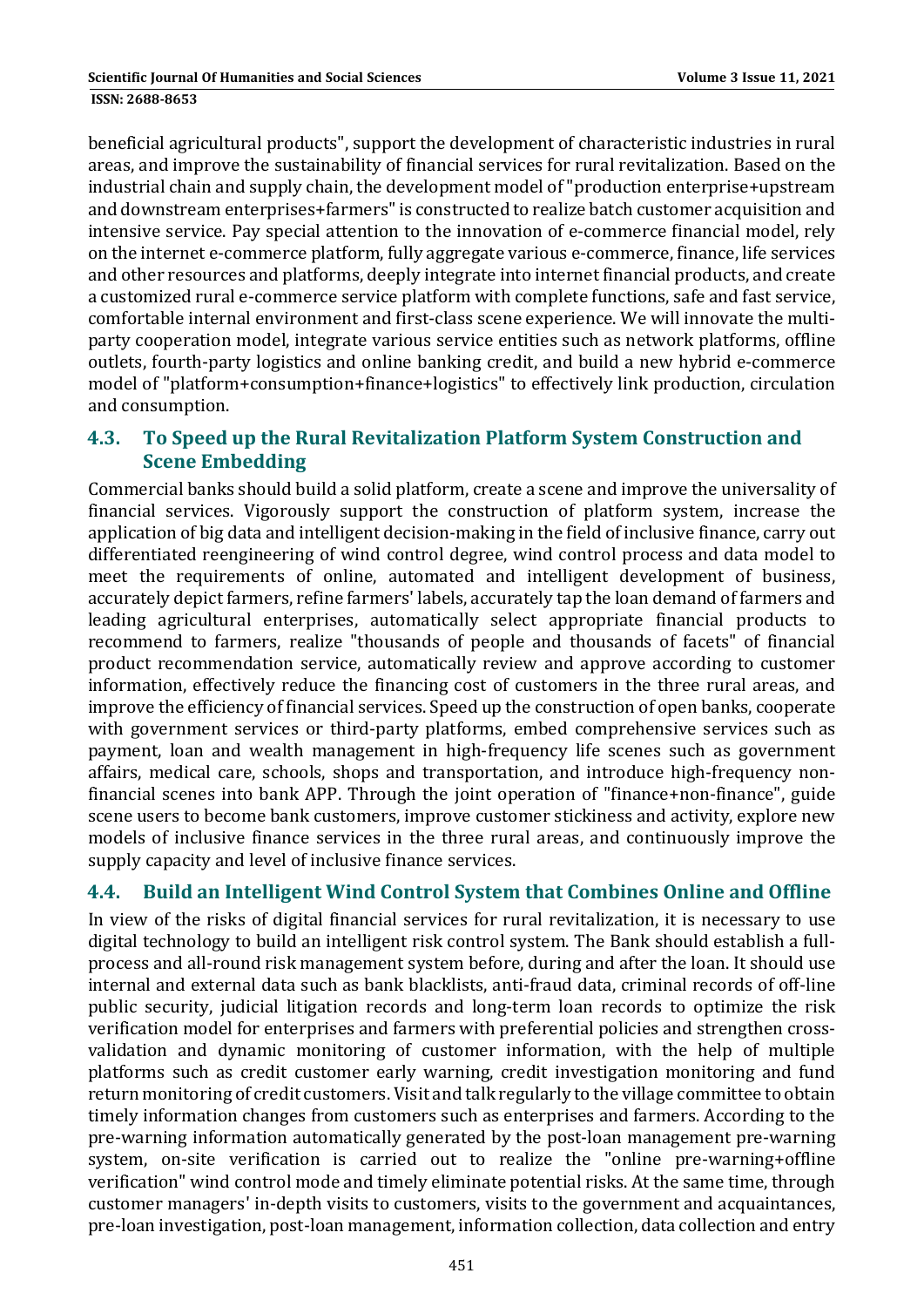and consumption.

beneficial agricultural products", support the development of characteristic industries in rural areas, and improve the sustainability of financial services for rural revitalization. Based on the industrial chain and supply chain, the development model of "production enterprise+upstream and downstream enterprises+farmers" is constructed to realize batch customer acquisition and intensive service. Pay special attention to the innovation of e-commerce financial model, rely on the internet e-commerce platform, fully aggregate various e-commerce, finance, life services and other resources and platforms, deeply integrate into internet financial products, and create a customized rural e-commerce service platform with complete functions, safe and fast service, comfortable internal environment and first-class scene experience. We will innovate the multiparty cooperation model, integrate various service entities such as network platforms, offline out lets, fourth-party logistics and online banking credit, and build a new hybrid e-commerce

### **4.3. To Speed up the Rural Revitalization Platform System Construction and Scene Embedding**

model of "platform+consumption+finance+logistics" to effectively link production, circulation

Commercial banks should build a solid platform, create a scene and improve the universality of financial services. Vigorously support the construction of platform system, increase the application of big data and intelligent decision-making in the field of inclusive finance, carry out differentiated reengineering of wind control degree, wind control process and data model to meet the requirements of online, automated and intelligent development of business, accurately depict farmers, refine farmers' labels, accurately tap the loan demand of farmers and leading agricultural enterprises, automatically select appropriate financial products to recommend to farmers, realize "thousands of people and thousands of facets" of financial product recommendation service, automatically review and approve according to customer information, effectively reduce the financing cost of customers in the three rural areas, and improve the efficiency of financial services. Speed up the construction of open banks, cooperate with government services or third-party platforms, embed comprehensive services such as payment, loan and wealth management in high-frequency life scenes such as government affairs, medical care, schools, shops and transportation, and introduce high-frequency nonfinancial scenes into bank APP. Through the joint operation of "finance+non-finance", guide scene users to become bank customers, improve customer stickiness and activity, explore new models of inclusive finance services in the three rural areas, and continuously improve the supply capacity and level of inclusive finance services.

### **4.4. Build an Intelligent Wind Control System that Combines Online and Offline**

In view of the risks of digital financial services for rural revitalization, it is necessary to use digital technology to build an intelligent risk control system. The Bank should establish a fullprocess and all-round risk management system before, during and after the loan. It should use internal and external data such as bank blacklists, anti-fraud data, criminal records of off-line public security, judicial litigation records and long-term loan records to optimize the risk verification model for enterprises and farmers with preferential policies and strengthen crossvalidation and dynamic monitoring of customer information, with the help of multiple platforms such as credit customer early warning, credit investigation monitoring and fund return monitoring of credit customers. Visit and talk regularly to the village committee to obtain timely information changes from customers such as enterprises and farmers. According to the pre-warning information automatically generated by the post-loan management pre-warning system, on-site verification is carried out to realize the "online pre-warning+offline verification" wind control mode and timely eliminate potential risks. At the same time, through customer managers' in-depth visits to customers, visits to the government and acquaintances, pre-loan investigation, post-loan management, information collection, data collection and entry